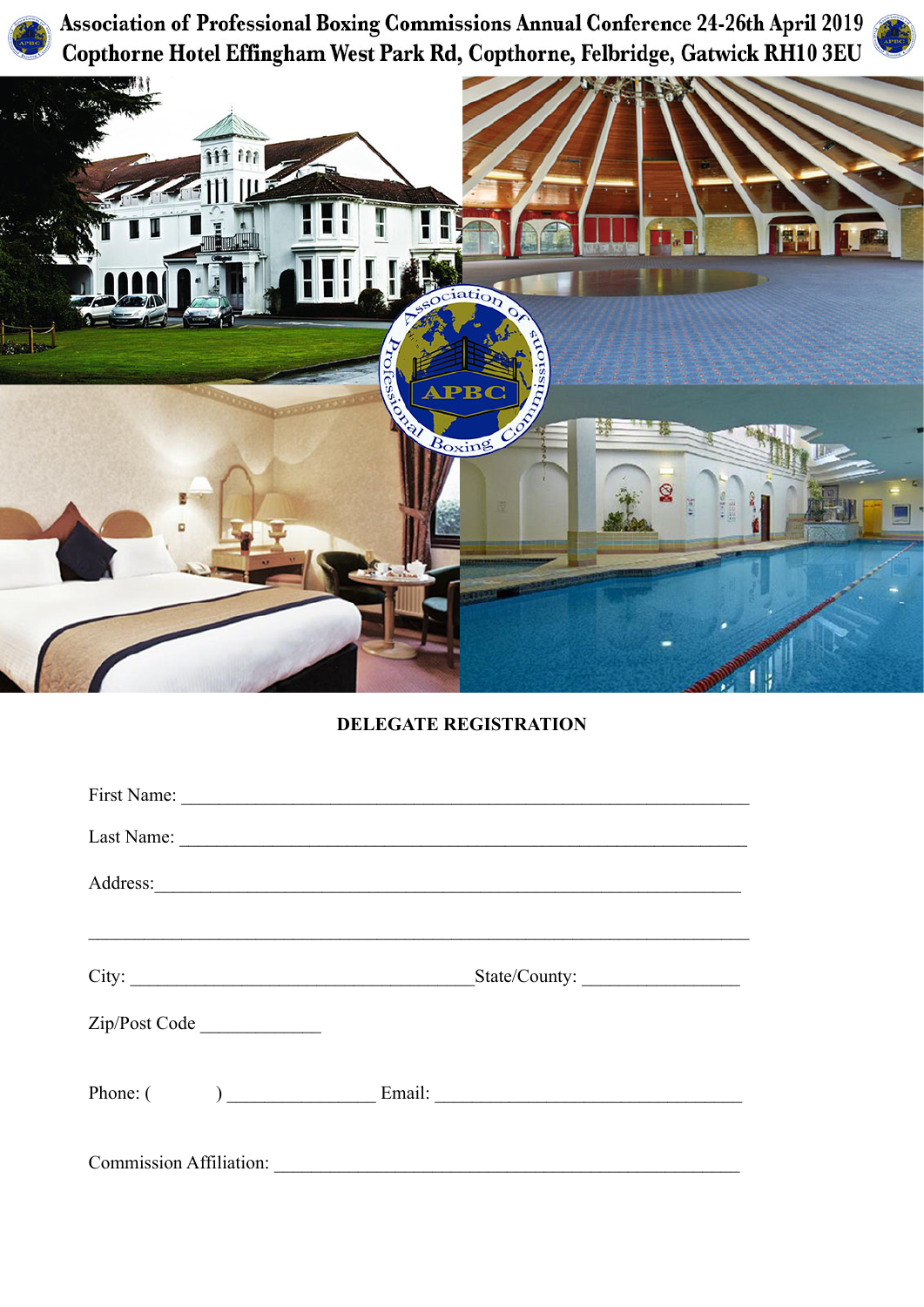Association of Professional Boxing Commissions Annual Conference 24-26th April 2019 Copthorne Hotel Effingham West Park Rd, Copthorne, Felbridge, Gatwick RH10 3EU





# **DELEGATE REGISTRATION**

|                                |                                                       |  | Last Name:    |  |  |
|--------------------------------|-------------------------------------------------------|--|---------------|--|--|
|                                |                                                       |  |               |  |  |
|                                |                                                       |  |               |  |  |
|                                | City:                                                 |  | State/County: |  |  |
|                                | Zip/Post Code                                         |  |               |  |  |
|                                | Phone: $\begin{pmatrix} 1 & 1 \\ 1 & 1 \end{pmatrix}$ |  |               |  |  |
|                                |                                                       |  |               |  |  |
| <b>Commission Affiliation:</b> |                                                       |  |               |  |  |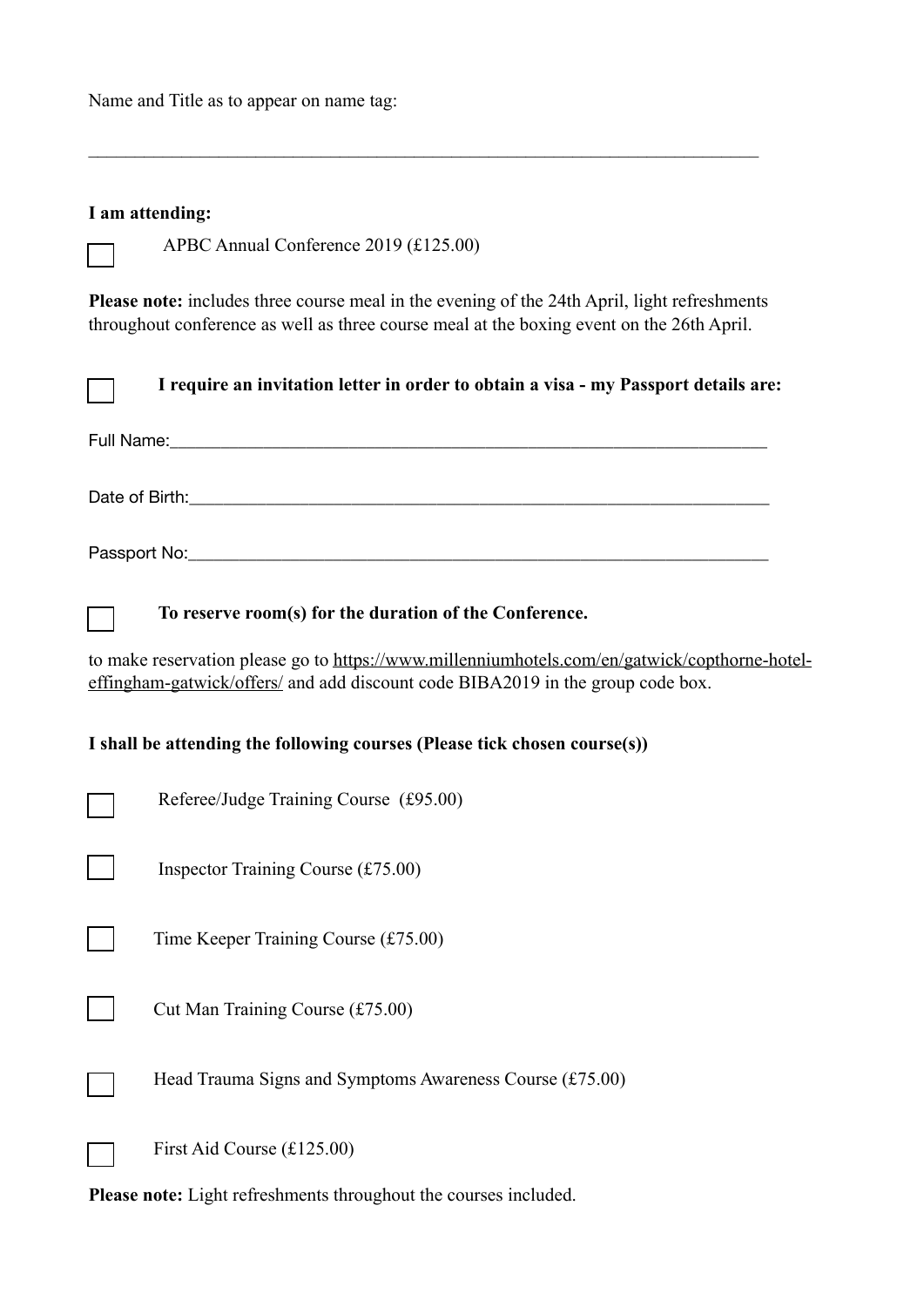Name and Title as to appear on name tag:

## **I am attending:**

APBC Annual Conference 2019 (£125.00)

**Please note:** includes three course meal in the evening of the 24th April, light refreshments throughout conference as well as three course meal at the boxing event on the 26th April.

 $\_$  , and the contribution of the contribution of  $\mathcal{L}_\mathcal{A}$  , and the contribution of  $\mathcal{L}_\mathcal{A}$ 

|                                                                                                                                                                                  | I require an invitation letter in order to obtain a visa - my Passport details are: |  |  |  |
|----------------------------------------------------------------------------------------------------------------------------------------------------------------------------------|-------------------------------------------------------------------------------------|--|--|--|
|                                                                                                                                                                                  |                                                                                     |  |  |  |
|                                                                                                                                                                                  |                                                                                     |  |  |  |
|                                                                                                                                                                                  |                                                                                     |  |  |  |
|                                                                                                                                                                                  | To reserve room(s) for the duration of the Conference.                              |  |  |  |
| to make reservation please go to https://www.millenniumhotels.com/en/gatwick/copthorne-hotel-<br>effingham-gatwick/offers/ and add discount code BIBA2019 in the group code box. |                                                                                     |  |  |  |
| I shall be attending the following courses (Please tick chosen course(s))                                                                                                        |                                                                                     |  |  |  |
|                                                                                                                                                                                  | Referee/Judge Training Course (£95.00)                                              |  |  |  |
|                                                                                                                                                                                  | Inspector Training Course $(f75.00)$                                                |  |  |  |
|                                                                                                                                                                                  | Time Keeper Training Course $(f75.00)$                                              |  |  |  |
|                                                                                                                                                                                  | Cut Man Training Course (£75.00)                                                    |  |  |  |
|                                                                                                                                                                                  | Head Trauma Signs and Symptoms Awareness Course (£75.00)                            |  |  |  |
|                                                                                                                                                                                  | First Aid Course (£125.00)                                                          |  |  |  |

**Please note:** Light refreshments throughout the courses included.